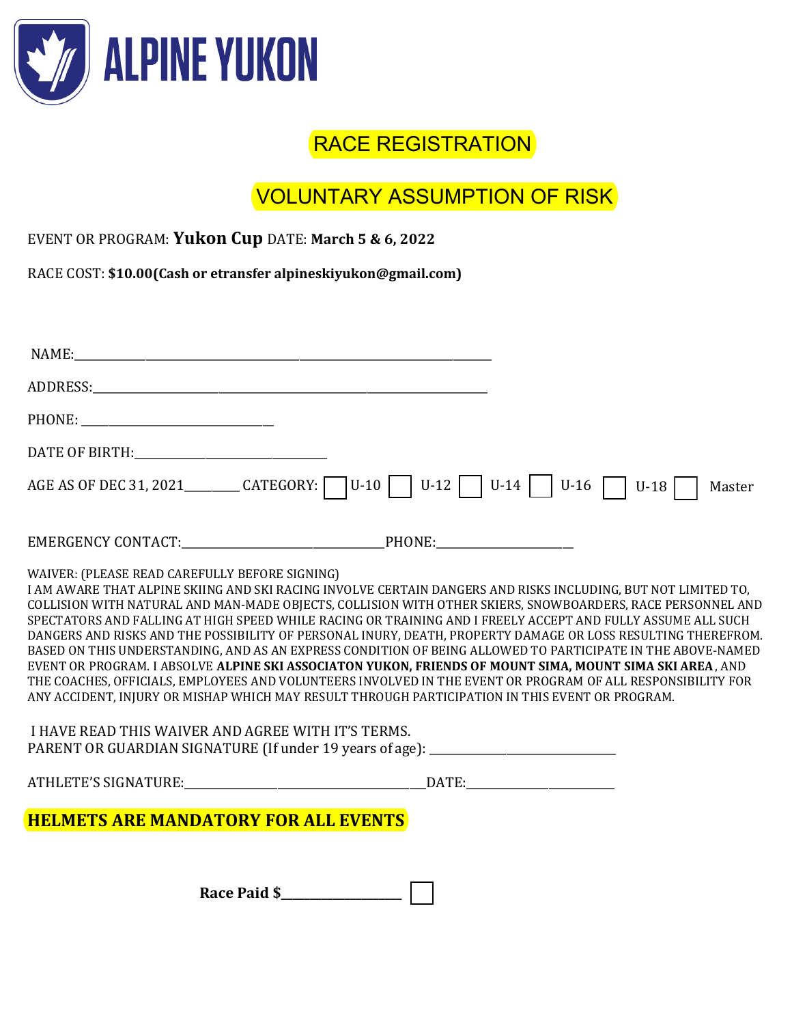

## RACE REGISTRATION

# VOLUNTARY ASSUMPTION OF RISK

| EVENT OR PROGRAM: Yukon Cup DATE: March 5 & 6, 2022 |  |
|-----------------------------------------------------|--|
|-----------------------------------------------------|--|

RACE COST: **\$10.00(Cash or etransfer alpineskiyukon@gmail.com)** 

| NAME:                                                                                                                                                                                                                                                                                                                                                                                                                                                                                                                                                                                                                                                                                                                                                                                                                                                                                                                                                                                                           |
|-----------------------------------------------------------------------------------------------------------------------------------------------------------------------------------------------------------------------------------------------------------------------------------------------------------------------------------------------------------------------------------------------------------------------------------------------------------------------------------------------------------------------------------------------------------------------------------------------------------------------------------------------------------------------------------------------------------------------------------------------------------------------------------------------------------------------------------------------------------------------------------------------------------------------------------------------------------------------------------------------------------------|
|                                                                                                                                                                                                                                                                                                                                                                                                                                                                                                                                                                                                                                                                                                                                                                                                                                                                                                                                                                                                                 |
|                                                                                                                                                                                                                                                                                                                                                                                                                                                                                                                                                                                                                                                                                                                                                                                                                                                                                                                                                                                                                 |
|                                                                                                                                                                                                                                                                                                                                                                                                                                                                                                                                                                                                                                                                                                                                                                                                                                                                                                                                                                                                                 |
| AGE AS OF DEC 31, 2021 __________ CATEGORY: $\bigcup$ U-10 $\bigcup$ U-12 $\bigcup$ U-14 $\bigcup$ U-16 $\bigcap$<br>$U-18$<br>Master                                                                                                                                                                                                                                                                                                                                                                                                                                                                                                                                                                                                                                                                                                                                                                                                                                                                           |
|                                                                                                                                                                                                                                                                                                                                                                                                                                                                                                                                                                                                                                                                                                                                                                                                                                                                                                                                                                                                                 |
| WAIVER: (PLEASE READ CAREFULLY BEFORE SIGNING)<br>I AM AWARE THAT ALPINE SKIING AND SKI RACING INVOLVE CERTAIN DANGERS AND RISKS INCLUDING, BUT NOT LIMITED TO,<br>COLLISION WITH NATURAL AND MAN-MADE OBJECTS, COLLISION WITH OTHER SKIERS, SNOWBOARDERS, RACE PERSONNEL AND<br>SPECTATORS AND FALLING AT HIGH SPEED WHILE RACING OR TRAINING AND I FREELY ACCEPT AND FULLY ASSUME ALL SUCH<br>DANGERS AND RISKS AND THE POSSIBILITY OF PERSONAL INURY, DEATH, PROPERTY DAMAGE OR LOSS RESULTING THEREFROM.<br>BASED ON THIS UNDERSTANDING, AND AS AN EXPRESS CONDITION OF BEING ALLOWED TO PARTICIPATE IN THE ABOVE-NAMED<br>EVENT OR PROGRAM. I ABSOLVE ALPINE SKI ASSOCIATON YUKON, FRIENDS OF MOUNT SIMA, MOUNT SIMA SKI AREA, AND<br>THE COACHES, OFFICIALS, EMPLOYEES AND VOLUNTEERS INVOLVED IN THE EVENT OR PROGRAM OF ALL RESPONSIBILITY FOR<br>ANY ACCIDENT, INJURY OR MISHAP WHICH MAY RESULT THROUGH PARTICIPATION IN THIS EVENT OR PROGRAM.<br>I HAVE READ THIS WAIVER AND AGREE WITH IT'S TERMS. |
| PARENT OR GUARDIAN SIGNATURE (If under 19 years of age): _______________________                                                                                                                                                                                                                                                                                                                                                                                                                                                                                                                                                                                                                                                                                                                                                                                                                                                                                                                                |
|                                                                                                                                                                                                                                                                                                                                                                                                                                                                                                                                                                                                                                                                                                                                                                                                                                                                                                                                                                                                                 |
| <b>HELMETS ARE MANDATORY FOR ALL EVENTS</b>                                                                                                                                                                                                                                                                                                                                                                                                                                                                                                                                                                                                                                                                                                                                                                                                                                                                                                                                                                     |
| Race Paid \$                                                                                                                                                                                                                                                                                                                                                                                                                                                                                                                                                                                                                                                                                                                                                                                                                                                                                                                                                                                                    |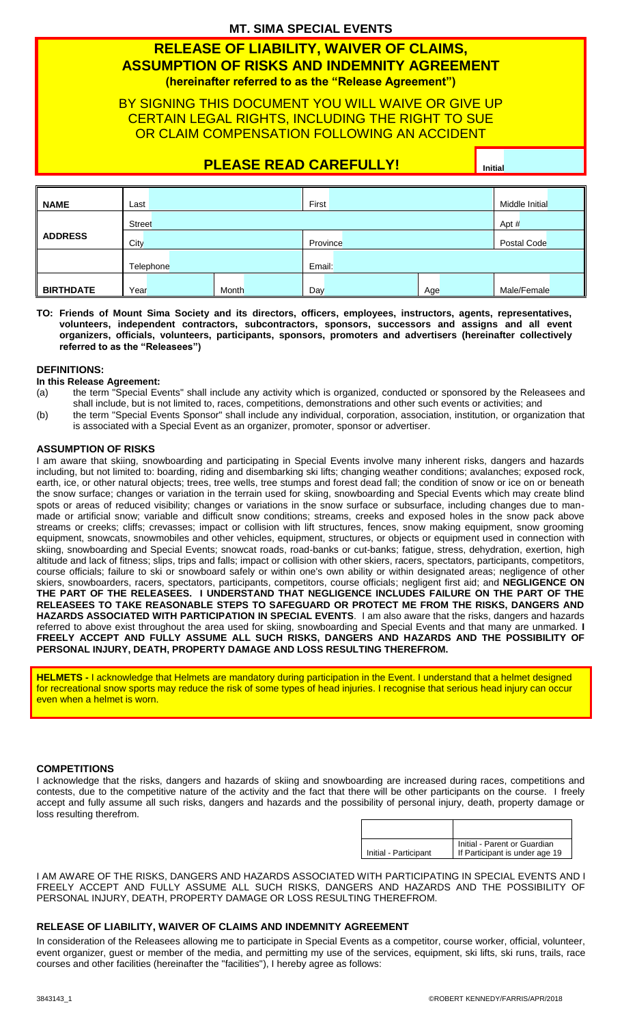#### **MT. SIMA SPECIAL EVENTS**

## **RELEASE OF LIABILITY, WAIVER OF CLAIMS, ASSUMPTION OF RISKS AND INDEMNITY AGREEMENT (hereinafter referred to as the "Release Agreement")**

### BY SIGNING THIS DOCUMENT YOU WILL WAIVE OR GIVE UP CERTAIN LEGAL RIGHTS, INCLUDING THE RIGHT TO SUE OR CLAIM COMPENSATION FOLLOWING AN ACCIDENT

## **PLEASE READ CAREFULLY! Initial**

| <b>NAME</b>      | Last          |  |       | First    |  |       | Middle Initial |  |
|------------------|---------------|--|-------|----------|--|-------|----------------|--|
|                  | <b>Street</b> |  |       |          |  | Apt # |                |  |
| <b>ADDRESS</b>   | City          |  |       | Province |  |       | Postal Code    |  |
|                  | Telephone     |  |       | Email:   |  |       |                |  |
| <b>BIRTHDATE</b> | Year          |  | Month | Day      |  | Age   | Male/Female    |  |

**TO: Friends of Mount Sima Society and its directors, officers, employees, instructors, agents, representatives, volunteers, independent contractors, subcontractors, sponsors, successors and assigns and all event organizers, officials, volunteers, participants, sponsors, promoters and advertisers (hereinafter collectively referred to as the "Releasees")**

#### **DEFINITIONS:**

#### **In this Release Agreement:**

- (a) the term "Special Events" shall include any activity which is organized, conducted or sponsored by the Releasees and shall include, but is not limited to, races, competitions, demonstrations and other such events or activities; and
- (b) the term "Special Events Sponsor" shall include any individual, corporation, association, institution, or organization that is associated with a Special Event as an organizer, promoter, sponsor or advertiser.

#### **ASSUMPTION OF RISKS**

I am aware that skiing, snowboarding and participating in Special Events involve many inherent risks, dangers and hazards including, but not limited to: boarding, riding and disembarking ski lifts; changing weather conditions; avalanches; exposed rock, earth, ice, or other natural objects; trees, tree wells, tree stumps and forest dead fall; the condition of snow or ice on or beneath the snow surface; changes or variation in the terrain used for skiing, snowboarding and Special Events which may create blind spots or areas of reduced visibility; changes or variations in the snow surface or subsurface, including changes due to manmade or artificial snow; variable and difficult snow conditions; streams, creeks and exposed holes in the snow pack above streams or creeks; cliffs; crevasses; impact or collision with lift structures, fences, snow making equipment, snow grooming equipment, snowcats, snowmobiles and other vehicles, equipment, structures, or objects or equipment used in connection with skiing, snowboarding and Special Events; snowcat roads, road-banks or cut-banks; fatigue, stress, dehydration, exertion, high altitude and lack of fitness; slips, trips and falls; impact or collision with other skiers, racers, spectators, participants, competitors, course officials; failure to ski or snowboard safely or within one's own ability or within designated areas; negligence of other skiers, snowboarders, racers, spectators, participants, competitors, course officials; negligent first aid; and **NEGLIGENCE ON THE PART OF THE RELEASEES. I UNDERSTAND THAT NEGLIGENCE INCLUDES FAILURE ON THE PART OF THE RELEASEES TO TAKE REASONABLE STEPS TO SAFEGUARD OR PROTECT ME FROM THE RISKS, DANGERS AND HAZARDS ASSOCIATED WITH PARTICIPATION IN SPECIAL EVENTS**. I am also aware that the risks, dangers and hazards referred to above exist throughout the area used for skiing, snowboarding and Special Events and that many are unmarked. **I FREELY ACCEPT AND FULLY ASSUME ALL SUCH RISKS, DANGERS AND HAZARDS AND THE POSSIBILITY OF PERSONAL INJURY, DEATH, PROPERTY DAMAGE AND LOSS RESULTING THEREFROM.**

**HELMETS -** I acknowledge that Helmets are mandatory during participation in the Event. I understand that a helmet designed for recreational snow sports may reduce the risk of some types of head injuries. I recognise that serious head injury can occur even when a helmet is worn.

#### **COMPETITIONS**

I acknowledge that the risks, dangers and hazards of skiing and snowboarding are increased during races, competitions and contests, due to the competitive nature of the activity and the fact that there will be other participants on the course. I freely accept and fully assume all such risks, dangers and hazards and the possibility of personal injury, death, property damage or loss resulting therefrom.

| Initial - Participant | Initial - Parent or Guardian<br>If Participant is under age 19 |
|-----------------------|----------------------------------------------------------------|
|                       |                                                                |

I AM AWARE OF THE RISKS, DANGERS AND HAZARDS ASSOCIATED WITH PARTICIPATING IN SPECIAL EVENTS AND I FREELY ACCEPT AND FULLY ASSUME ALL SUCH RISKS, DANGERS AND HAZARDS AND THE POSSIBILITY OF PERSONAL INJURY, DEATH, PROPERTY DAMAGE OR LOSS RESULTING THEREFROM.

#### **RELEASE OF LIABILITY, WAIVER OF CLAIMS AND INDEMNITY AGREEMENT**

In consideration of the Releasees allowing me to participate in Special Events as a competitor, course worker, official, volunteer, event organizer, guest or member of the media, and permitting my use of the services, equipment, ski lifts, ski runs, trails, race courses and other facilities (hereinafter the "facilities"), I hereby agree as follows: